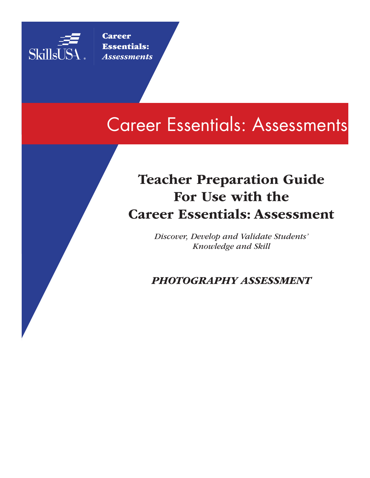

**Career** Essentials: *Assessments*

# Career Essentials: Assessments

# Teacher Preparation Guide For Use with the Career Essentials: Assessment

*Discover, Develop and Validate Students' Knowledge and Skill*

*PHOTOGRAPHY ASSESSMENT*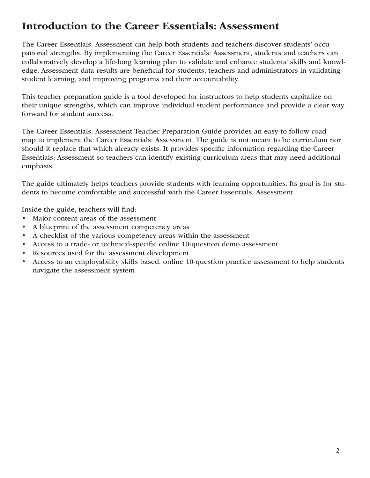# Introduction to the Career Essentials: Assessment

The Career Essentials: Assessment can help both students and teachers discover students' occupational strengths. By implementing the Career Essentials: Assessment, students and teachers can collaboratively develop a life-long learning plan to validate and enhance students' skills and knowledge. Assessment data results are beneficial for students, teachers and administrators in validating student learning, and improving programs and their accountability.

This teacher preparation guide is a tool developed for instructors to help students capitalize on their unique strengths, which can improve individual student performance and provide a clear way forward for student success.

The Career Essentials: Assessment Teacher Preparation Guide provides an easy-to-follow road map to implement the Career Essentials: Assessment. The guide is not meant to be curriculum nor should it replace that which already exists. It provides specific information regarding the Career Essentials: Assessment so teachers can identify existing curriculum areas that may need additional emphasis.

The guide ultimately helps teachers provide students with learning opportunities. Its goal is for students to become comfortable and successful with the Career Essentials: Assessment.

Inside the guide, teachers will find:

- Major content areas of the assessment
- A blueprint of the assessment competency areas
- A checklist of the various competency areas within the assessment
- Access to a trade- or technical-specific online 10-question demo assessment
- Resources used for the assessment development
- Access to an employability skills based, online 10-question practice assessment to help students navigate the assessment system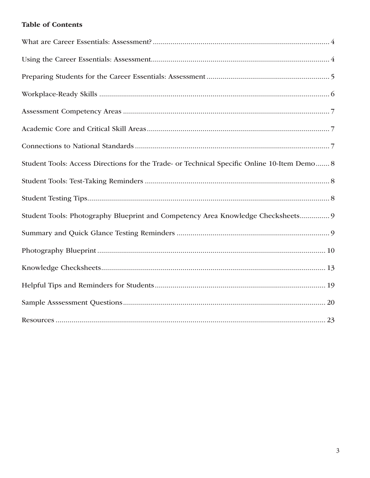# **Table of Contents**

| Student Tools: Access Directions for the Trade- or Technical Specific Online 10-Item Demo 8 |
|---------------------------------------------------------------------------------------------|
|                                                                                             |
|                                                                                             |
| Student Tools: Photography Blueprint and Competency Area Knowledge Checksheets 9            |
|                                                                                             |
|                                                                                             |
|                                                                                             |
|                                                                                             |
|                                                                                             |
|                                                                                             |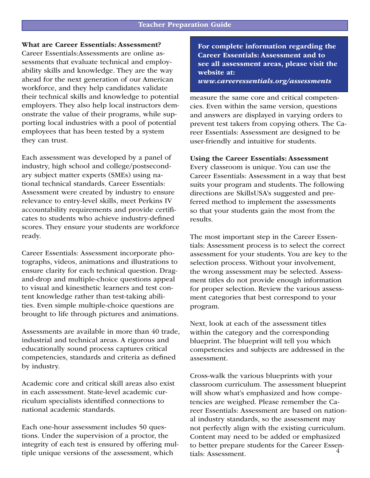## What are Career Essentials: Assessment?

Career Essentials:Assessments are online assessments that evaluate technical and employability skills and knowledge. They are the way ahead for the next generation of our American workforce, and they help candidates validate their technical skills and knowledge to potential employers. They also help local instructors demonstrate the value of their programs, while supporting local industries with a pool of potential employees that has been tested by a system they can trust.

Each assessment was developed by a panel of industry, high school and college/postsecondary subject matter experts (SMEs) using national technical standards. Career Essentials: Assessment were created by industry to ensure relevance to entry-level skills, meet Perkins IV accountability requirements and provide certificates to students who achieve industry-defined scores. They ensure your students are workforce ready.

Career Essentials: Assessment incorporate photographs, videos, animations and illustrations to ensure clarity for each technical question. Dragand-drop and multiple-choice questions appeal to visual and kinesthetic learners and test content knowledge rather than test-taking abilities. Even simple multiple-choice questions are brought to life through pictures and animations.

Assessments are available in more than 40 trade, industrial and technical areas. A rigorous and educationally sound process captures critical competencies, standards and criteria as defined by industry.

Academic core and critical skill areas also exist in each assessment. State-level academic curriculum specialists identified connections to national academic standards.

Each one-hour assessment includes 50 questions. Under the supervision of a proctor, the integrity of each test is ensured by offering multiple unique versions of the assessment, which

For complete information regarding the Career Essentials: Assessment and to see all assessment areas, please visit the website at:

*www.careeressentials.org/assessments* 

measure the same core and critical competencies. Even within the same version, questions and answers are displayed in varying orders to prevent test takers from copying others. The Career Essentials: Assessment are designed to be user-friendly and intuitive for students.

#### Using the Career Essentials: Assessment

Every classroom is unique. You can use the Career Essentials: Assessment in a way that best suits your program and students. The following directions are SkillsUSA's suggested and preferred method to implement the assessments so that your students gain the most from the results.

The most important step in the Career Essentials: Assessment process is to select the correct assessment for your students. You are key to the selection process. Without your involvement, the wrong assessment may be selected. Assessment titles do not provide enough information for proper selection. Review the various assessment categories that best correspond to your program.

Next, look at each of the assessment titles within the category and the corresponding blueprint. The blueprint will tell you which competencies and subjects are addressed in the assessment.

4 Cross-walk the various blueprints with your classroom curriculum. The assessment blueprint will show what's emphasized and how competencies are weighed. Please remember the Career Essentials: Assessment are based on national industry standards, so the assessment may not perfectly align with the existing curriculum. Content may need to be added or emphasized to better prepare students for the Career Essentials: Assessment.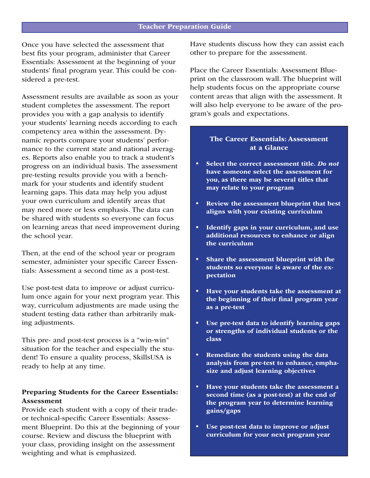Once you have selected the assessment that best fits your program, administer that Career Essentials: Assessment at the beginning of your students' final program year. This could be considered a pre-test.

Assessment results are available as soon as your student completes the assessment. The report provides you with a gap analysis to identify your students' learning needs according to each competency area within the assessment. Dynamic reports compare your students' performance to the current state and national averages. Reports also enable you to track a student's progress on an individual basis. The assessment pre-testing results provide you with a benchmark for your students and identify student learning gaps. This data may help you adjust your own curriculum and identify areas that may need more or less emphasis. The data can be shared with students so everyone can focus on learning areas that need improvement during the school year.

Then, at the end of the school year or program semester, administer your specific Career Essentials: Assessment a second time as a post-test.

Use post-test data to improve or adjust curriculum once again for your next program year. This way, curriculum adjustments are made using the student testing data rather than arbitrarily making adjustments.

This pre- and post-test process is a "win-win" situation for the teacher and especially the student! To ensure a quality process, SkillsUSA is ready to help at any time.

### Preparing Students for the Career Essentials: Assessment

Provide each student with a copy of their tradeor technical-specific Career Essentials: Assessment Blueprint. Do this at the beginning of your course. Review and discuss the blueprint with your class, providing insight on the assessment weighting and what is emphasized.

Have students discuss how they can assist each other to prepare for the assessment.

Place the Career Essentials: Assessment Blueprint on the classroom wall. The blueprint will help students focus on the appropriate course content areas that align with the assessment. It will also help everyone to be aware of the program's goals and expectations.

### The Career Essentials: Assessment at a Glance

- Select the correct assessment title. *Do not*  have someone select the assessment for you, as there may be several titles that may relate to your program
- Review the assessment blueprint that best aligns with your existing curriculum
- Identify gaps in your curriculum, and use additional resources to enhance or align the curriculum
- Share the assessment blueprint with the students so everyone is aware of the expectation
- Have your students take the assessment at the beginning of their final program year as a pre-test
- Use pre-test data to identify learning gaps or strengths of individual students or the class
- Remediate the students using the data analysis from pre-test to enhance, emphasize and adjust learning objectives
- Have your students take the assessment a second time (as a post-test) at the end of the program year to determine learning gains/gaps
- Use post-test data to improve or adjust curriculum for your next program year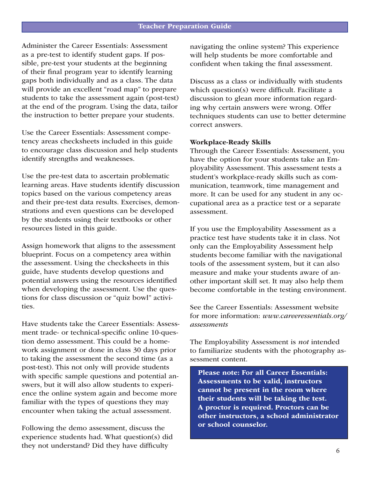Administer the Career Essentials: Assessment as a pre-test to identify student gaps. If possible, pre-test your students at the beginning of their final program year to identify learning gaps both individually and as a class. The data will provide an excellent "road map" to prepare students to take the assessment again (post-test) at the end of the program. Using the data, tailor the instruction to better prepare your students.

Use the Career Essentials: Assessment competency areas checksheets included in this guide to encourage class discussion and help students identify strengths and weaknesses.

Use the pre-test data to ascertain problematic learning areas. Have students identify discussion topics based on the various competency areas and their pre-test data results. Exercises, demonstrations and even questions can be developed by the students using their textbooks or other resources listed in this guide.

Assign homework that aligns to the assessment blueprint. Focus on a competency area within the assessment. Using the checksheets in this guide, have students develop questions and potential answers using the resources identified when developing the assessment. Use the questions for class discussion or "quiz bowl" activities.

Have students take the Career Essentials: Assessment trade- or technical-specific online 10-question demo assessment. This could be a homework assignment or done in class 30 days prior to taking the assessment the second time (as a post-test). This not only will provide students with specific sample questions and potential answers, but it will also allow students to experience the online system again and become more familiar with the types of questions they may encounter when taking the actual assessment.

Following the demo assessment, discuss the experience students had. What question(s) did they not understand? Did they have difficulty

navigating the online system? This experience will help students be more comfortable and confident when taking the final assessment.

Discuss as a class or individually with students which question(s) were difficult. Facilitate a discussion to glean more information regarding why certain answers were wrong. Offer techniques students can use to better determine correct answers.

#### Workplace-Ready Skills

Through the Career Essentials: Assessment, you have the option for your students take an Employability Assessment. This assessment tests a student's workplace-ready skills such as communication, teamwork, time management and more. It can be used for any student in any occupational area as a practice test or a separate assessment.

If you use the Employability Assessment as a practice test have students take it in class. Not only can the Employability Assessment help students become familiar with the navigational tools of the assessment system, but it can also measure and make your students aware of another important skill set. It may also help them become comfortable in the testing environment.

See the Career Essentials: Assessment website for more information: *www.careeressentials.org/ assessments* 

The Employability Assessment is *not* intended to familiarize students with the photography assessment content.

Please note: For all Career Essentials: Assessments to be valid, instructors cannot be present in the room where their students will be taking the test. A proctor is required. Proctors can be other instructors, a school administrator or school counselor.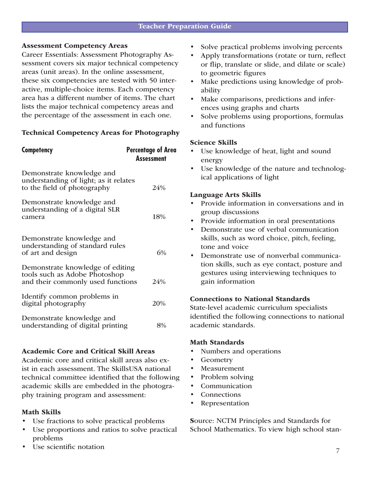#### Assessment Competency Areas

Career Essentials: Assessment Photography Assessment covers six major technical competency areas (unit areas). In the online assessment, these six competencies are tested with 50 interactive, multiple-choice items. Each competency area has a different number of items. The chart lists the major technical competency areas and the percentage of the assessment in each one.

### Technical Competency Areas for Photography

| <b>Competency</b>                                                                                      | <b>Percentage of Area</b><br><b>Assessment</b> |
|--------------------------------------------------------------------------------------------------------|------------------------------------------------|
| Demonstrate knowledge and<br>understanding of light; as it relates<br>to the field of photography      | 24%                                            |
| Demonstrate knowledge and<br>understanding of a digital SLR<br>camera                                  | 18%                                            |
| Demonstrate knowledge and<br>understanding of standard rules<br>of art and design                      | 6%                                             |
| Demonstrate knowledge of editing<br>tools such as Adobe Photoshop<br>and their commonly used functions | 24%                                            |
| Identify common problems in<br>digital photography                                                     | 20%                                            |
| Demonstrate knowledge and<br>understanding of digital printing                                         | 8%                                             |

### Academic Core and Critical Skill Areas

Academic core and critical skill areas also exist in each assessment. The SkillsUSA national technical committee identified that the following academic skills are embedded in the photography training program and assessment:

### Math Skills

- Use fractions to solve practical problems
- Use proportions and ratios to solve practical problems
- Use scientific notation
- Solve practical problems involving percents
- Apply transformations (rotate or turn, reflect or flip, translate or slide, and dilate or scale) to geometric figures
- Make predictions using knowledge of probability
- Make comparisons, predictions and inferences using graphs and charts
- Solve problems using proportions, formulas and functions

#### Science Skills

- Use knowledge of heat, light and sound energy
- Use knowledge of the nature and technological applications of light

#### Language Arts Skills

- Provide information in conversations and in group discussions
- Provide information in oral presentations
- Demonstrate use of verbal communication skills, such as word choice, pitch, feeling, tone and voice
- Demonstrate use of nonverbal communication skills, such as eye contact, posture and gestures using interviewing techniques to gain information

### Connections to National Standards

State-level academic curriculum specialists identified the following connections to national academic standards.

#### Math Standards

- Numbers and operations
- Geometry
- **Measurement**
- Problem solving
- **Communication**
- **Connections**
- **Representation**

Source: NCTM Principles and Standards for School Mathematics. To view high school stan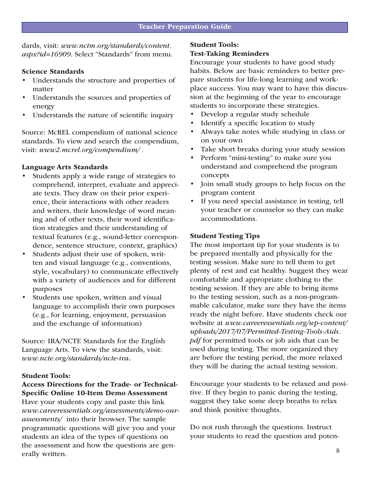dards, visit: *www.nctm.org/standards/content. aspx?id=16909*. Select "Standards" from menu.

#### Science Standards

- Understands the structure and properties of matter
- Understands the sources and properties of energy
- Understands the nature of scientific inquiry

Source: McREL compendium of national science standards. To view and search the compendium, visit: *www2.mcrel.org/compendium/ .* 

#### Language Arts Standards

- Students apply a wide range of strategies to comprehend, interpret, evaluate and appreciate texts. They draw on their prior experience, their interactions with other readers and writers, their knowledge of word meaning and of other texts, their word identification strategies and their understanding of textual features (e.g., sound-letter correspondence, sentence structure, context, graphics)
- Students adjust their use of spoken, written and visual language (e.g., conventions, style, vocabulary) to communicate effectively with a variety of audiences and for different purposes
- Students use spoken, written and visual language to accomplish their own purposes (e.g., for learning, enjoyment, persuasion and the exchange of information)

Source: IRA/NCTE Standards for the English Language Arts. To view the standards, visit: *www.ncte.org/standards/ncte-ira*.

#### Student Tools:

## Access Directions for the Trade- or Technical-Specific Online 10-Item Demo Assessment

Have your students copy and paste this link *www.careeressentials.org/assessments/demo-ourassessments/* into their browser. The sample programmatic questions will give you and your students an idea of the types of questions on the assessment and how the questions are generally written.

### Student Tools:

## Test-Taking Reminders

Encourage your students to have good study habits. Below are basic reminders to better prepare students for life-long learning and workplace success. You may want to have this discussion at the beginning of the year to encourage students to incorporate these strategies.

- Develop a regular study schedule
- Identify a specific location to study
- Always take notes while studying in class or on your own
- Take short breaks during your study session
- Perform "mini-testing" to make sure you understand and comprehend the program concepts
- Join small study groups to help focus on the program content
- If you need special assistance in testing, tell your teacher or counselor so they can make accommodations.

#### Student Testing Tips

The most important tip for your students is to be prepared mentally and physically for the testing session. Make sure to tell them to get plenty of rest and eat healthy. Suggest they wear comfortable and appropriate clothing to the testing session. If they are able to bring items to the testing session, such as a non-programmable calculator, make sure they have the items ready the night before. Have students check our website at *www.careeressentials.org/wp-content/ uploads/2017/07/Permitted-Testing-Tools-Aids. pdf* for permitted tools or job aids that can be used during testing. The more organized they are before the testing period, the more relaxed they will be during the actual testing session.

Encourage your students to be relaxed and positive. If they begin to panic during the testing, suggest they take some deep breaths to relax and think positive thoughts.

Do not rush through the questions. Instruct your students to read the question and poten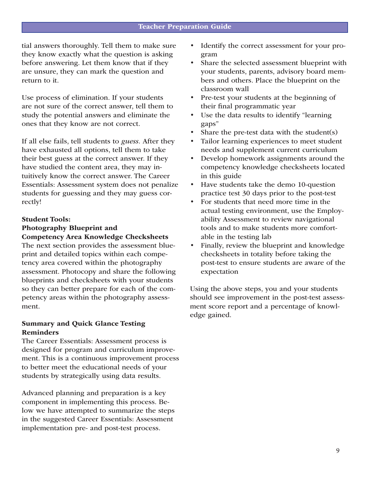tial answers thoroughly. Tell them to make sure they know exactly what the question is asking before answering. Let them know that if they are unsure, they can mark the question and return to it.

Use process of elimination. If your students are not sure of the correct answer, tell them to study the potential answers and eliminate the ones that they know are not correct.

If all else fails, tell students to *guess.* After they have exhausted all options, tell them to take their best guess at the correct answer. If they have studied the content area, they may intuitively know the correct answer. The Career Essentials: Assessment system does not penalize students for guessing and they may guess correctly!

## Student Tools: Photography Blueprint and Competency Area Knowledge Checksheets

The next section provides the assessment blueprint and detailed topics within each competency area covered within the photography assessment. Photocopy and share the following blueprints and checksheets with your students so they can better prepare for each of the competency areas within the photography assessment.

## Summary and Quick Glance Testing Reminders

The Career Essentials: Assessment process is designed for program and curriculum improvement. This is a continuous improvement process to better meet the educational needs of your students by strategically using data results.

Advanced planning and preparation is a key component in implementing this process. Below we have attempted to summarize the steps in the suggested Career Essentials: Assessment implementation pre- and post-test process.

- Identify the correct assessment for your program
- Share the selected assessment blueprint with your students, parents, advisory board members and others. Place the blueprint on the classroom wall
- Pre-test your students at the beginning of their final programmatic year
- Use the data results to identify "learning" gaps"
- Share the pre-test data with the student $(s)$
- Tailor learning experiences to meet student needs and supplement current curriculum
- Develop homework assignments around the competency knowledge checksheets located in this guide
- Have students take the demo 10-question practice test 30 days prior to the post-test
- For students that need more time in the actual testing environment, use the Employability Assessment to review navigational tools and to make students more comfortable in the testing lab
- Finally, review the blueprint and knowledge checksheets in totality before taking the post-test to ensure students are aware of the expectation

Using the above steps, you and your students should see improvement in the post-test assessment score report and a percentage of knowledge gained.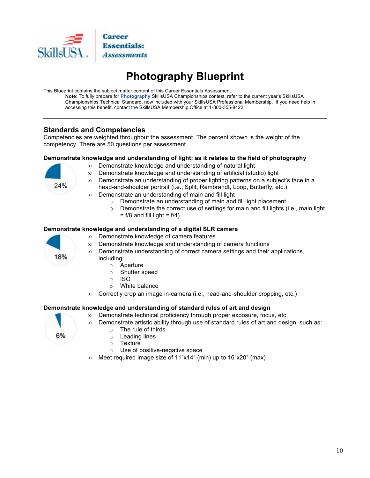

# **Photography Blueprint**

This Blueprint contains the subject matter content of this Career Essentials Assessment.

Note: To fully prepare for Photography SkillsUSA Championships contest, refer to the current year's SkillsUSA Championships Technical Standard, now included with your SkillsUSA Professional Membership. If you need help in accessing this benefit, contact the SkillsUSA Membership Office at 1-800-355-8422.

## **Standards and Competencies**

Competencies are weighted throughout the assessment. The percent shown is the weight of the competency. There are 50 questions per assessment.

#### Demonstrate knowledge and understanding of light; as it relates to the field of photography

- $\infty$  Demonstrate knowledge and understanding of natural light
- Demonstrate knowledge and understanding of artificial (studio) light  $\infty$
- Demonstrate an understanding of proper lighting patterns on a subject's face in a  $\infty$ head-and-shoulder portrait (i.e., Split, Rembrandt, Loop, Butterfly, etc.)
- $\infty$  Demonstrate an understanding of main and fill light
	- o Demonstrate an understanding of main and fill light placement
	- o Demonstrate the correct use of settings for main and fill lights (i.e., main light  $= f/8$  and fill light  $= f/4$ )

#### Demonstrate knowledge and understanding of a digital SLR camera

- ∞ Demonstrate knowledge of camera features
	- Demonstrate knowledge and understanding of camera functions  $\infty$
- Demonstrate understanding of correct camera settings and their applications,  $\infty$ includina:
	- Aperture  $\circ$
	- Shutter speed  $\circ$ 
		- **ISO**

 $\circ$ 

- White balance  $\Omega$
- Correctly crop an image in-camera (i.e., head-and-shoulder cropping, etc.)  $\infty$

#### Demonstrate knowledge and understanding of standard rules of art and design

 $\infty$  Demonstrate technical proficiency through proper exposure, focus, etc.



- $\infty$  Demonstrate artistic ability through use of standard rules of art and design, such as: The rule of thirds  $\circ$ 
	- Leading lines  $\circ$
	- Texture  $\circ$ 
		-
	- Use of positive-negative space  $\cap$
- $\infty$  Meet required image size of 11"x14" (min) up to 16"x20" (max)



18%

24%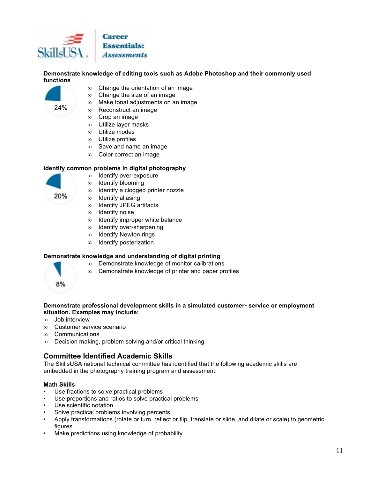

Demonstrate knowledge of editing tools such as Adobe Photoshop and their commonly used functions



- $\infty$  Change the orientation of an image
- Change the size of an image  $\infty$
- Make tonal adjustments on an image  $\infty$
- Reconstruct an image  $\infty$
- Crop an image  $\infty$
- Utilize layer masks  $\infty$
- $\infty$  Utilize modes
- $\infty$  Utilize profiles
- $\infty$  Save and name an image
- ∞ Color correct an image

#### Identify common problems in digital photography

- Identify over-exposure  $\infty$ 
	- Identify blooming  $\infty$
- Identify a clogged printer nozzle  $\infty$
- Identify aliasing  $\infty$
- Identify JPEG artifacts  $\infty$
- Identify noise  $\infty$
- Identify improper white balance  $\infty$
- Identify over-sharpening  $\infty$
- **Identify Newton rings**  $\infty$
- Identify posterization  $\infty$

#### Demonstrate knowledge and understanding of digital printing

- Demonstrate knowledge of monitor calibrations  $\infty$
- Demonstrate knowledge of printer and paper profiles  $\infty$



20%

#### Demonstrate professional development skills in a simulated customer-service or employment situation. Examples may include:

- Job interview  $\infty$
- Customer service scenario  $\infty$
- $\infty$ Communications
- Decision making, problem solving and/or critical thinking  $\infty$

### **Committee Identified Academic Skills**

The SkillsUSA national technical committee has identified that the following academic skills are embedded in the photography training program and assessment:

#### **Math Skills**

- Use fractions to solve practical problems
- Use proportions and ratios to solve practical problems
- Use scientific notation
- Solve practical problems involving percents
- Apply transformations (rotate or turn, reflect or flip, translate or slide, and dilate or scale) to geometric figures
- Make predictions using knowledge of probability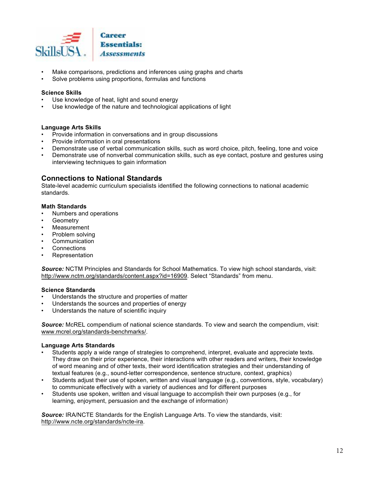

- Make comparisons, predictions and inferences using graphs and charts
- Solve problems using proportions, formulas and functions

#### **Science Skills**

- Use knowledge of heat, light and sound energy
- Use knowledge of the nature and technological applications of light

#### **Language Arts Skills**

- Provide information in conversations and in group discussions
- Provide information in oral presentations
- Demonstrate use of verbal communication skills, such as word choice, pitch, feeling, tone and voice
- Demonstrate use of nonverbal communication skills, such as eye contact, posture and gestures using interviewing techniques to gain information

#### **Connections to National Standards**

State-level academic curriculum specialists identified the following connections to national academic standards.

#### **Math Standards**

- Numbers and operations
- Geometry
- Measurement
- Problem solving
- Communication
- Connections
- Representation

Source: NCTM Principles and Standards for School Mathematics. To view high school standards, visit: http://www.nctm.org/standards/content.aspx?id=16909. Select "Standards" from menu.

#### **Science Standards**

- Understands the structure and properties of matter
- Understands the sources and properties of energy
- Understands the nature of scientific inquiry

Source: McREL compendium of national science standards. To view and search the compendium, visit: www.mcrel.org/standards-benchmarks/.

#### **Language Arts Standards**

- Students apply a wide range of strategies to comprehend, interpret, evaluate and appreciate texts. They draw on their prior experience, their interactions with other readers and writers, their knowledge of word meaning and of other texts, their word identification strategies and their understanding of textual features (e.g., sound-letter correspondence, sentence structure, context, graphics)
- $\ddot{\phantom{a}}$ Students adjust their use of spoken, written and visual language (e.g., conventions, style, vocabulary) to communicate effectively with a variety of audiences and for different purposes
- Students use spoken, written and visual language to accomplish their own purposes (e.g., for learning, enjoyment, persuasion and the exchange of information)

Source: IRA/NCTE Standards for the English Language Arts. To view the standards, visit: http://www.ncte.org/standards/ncte-ira.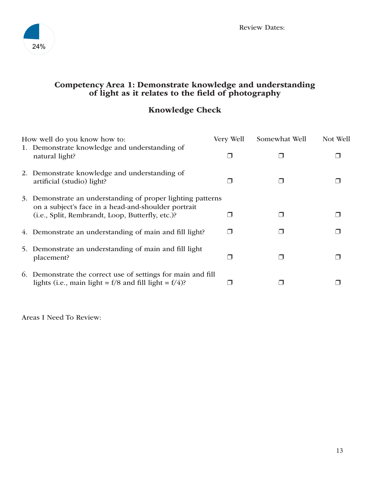

# Competency Area 1: Demonstrate knowledge and understanding of light as it relates to the field of photography

# Knowledge Check

| How well do you know how to:                                                                                                                                           | Very Well | Somewhat Well | Not Well |
|------------------------------------------------------------------------------------------------------------------------------------------------------------------------|-----------|---------------|----------|
| 1. Demonstrate knowledge and understanding of<br>natural light?                                                                                                        |           |               |          |
| 2. Demonstrate knowledge and understanding of<br>artificial (studio) light?                                                                                            |           |               |          |
| 3. Demonstrate an understanding of proper lighting patterns<br>on a subject's face in a head-and-shoulder portrait<br>(i.e., Split, Rembrandt, Loop, Butterfly, etc.)? |           |               |          |
| 4. Demonstrate an understanding of main and fill light?                                                                                                                |           |               |          |
| 5. Demonstrate an understanding of main and fill light<br>placement?                                                                                                   |           |               |          |
| 6. Demonstrate the correct use of settings for main and fill<br>lights (i.e., main light = $f/8$ and fill light = $f/4$ )?                                             |           |               |          |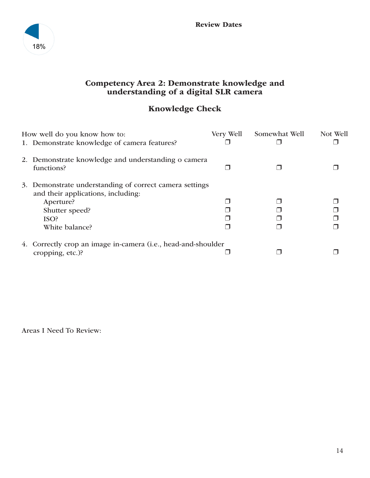

## Competency Area 2: Demonstrate knowledge and understanding of a digital SLR camera

# Knowledge Check

| How well do you know how to:                                      | Very Well | Somewhat Well | Not Well |
|-------------------------------------------------------------------|-----------|---------------|----------|
| 1. Demonstrate knowledge of camera features?                      |           |               |          |
| 2. Demonstrate knowledge and understanding o camera<br>functions? |           |               |          |
| 3. Demonstrate understanding of correct camera settings           |           |               |          |
| and their applications, including:                                |           |               |          |
| Aperture?                                                         |           |               |          |
| Shutter speed?                                                    |           |               |          |
| ISO?                                                              |           |               |          |
| White balance?                                                    |           |               |          |
| 4. Correctly crop an image in-camera (i.e., head-and-shoulder     |           |               |          |
| cropping, etc.)?                                                  |           |               |          |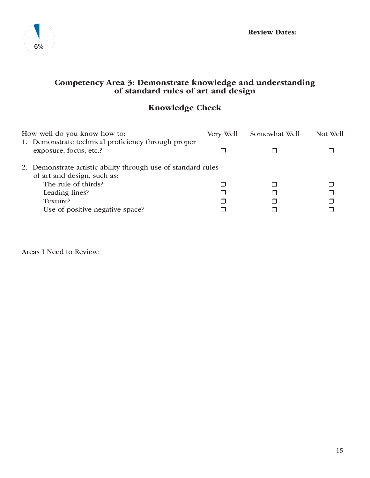

# Competency Area 3: Demonstrate knowledge and understanding of standard rules of art and design

# Knowledge Check

| How well do you know how to:                                                                 | Very Well | Somewhat Well | Not Well |
|----------------------------------------------------------------------------------------------|-----------|---------------|----------|
| 1. Demonstrate technical proficiency through proper<br>exposure, focus, etc.?                |           |               |          |
| 2. Demonstrate artistic ability through use of standard rules<br>of art and design, such as: |           |               |          |
| The rule of thirds?                                                                          |           |               |          |
| Leading lines?                                                                               |           |               |          |
| Texture?                                                                                     |           |               |          |
| Use of positive-negative space?                                                              |           |               |          |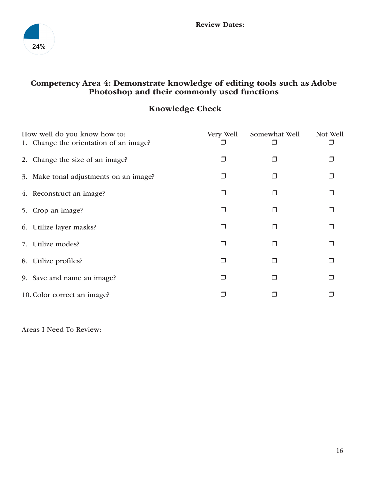

# Competency Area 4: Demonstrate knowledge of editing tools such as Adobe Photoshop and their commonly used functions

# Knowledge Check

| How well do you know how to:           | Very Well | Somewhat Well | Not Well |
|----------------------------------------|-----------|---------------|----------|
| 1. Change the orientation of an image? |           |               |          |
| 2. Change the size of an image?        |           |               |          |
| 3. Make tonal adjustments on an image? |           |               |          |
| 4. Reconstruct an image?               |           |               |          |
| 5. Crop an image?                      | П         |               |          |
| 6. Utilize layer masks?                |           |               |          |
| 7. Utilize modes?                      |           |               |          |
| 8. Utilize profiles?                   | n l       |               |          |
| 9. Save and name an image?             |           |               |          |
| 10. Color correct an image?            |           |               |          |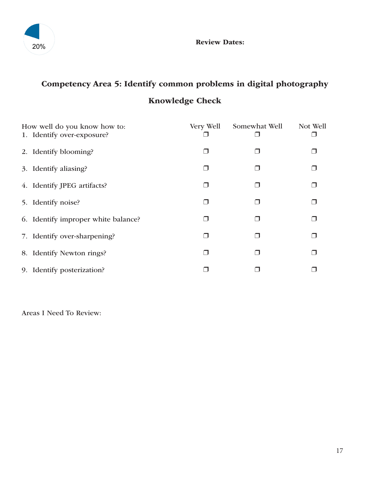

# Competency Area 5: Identify common problems in digital photography Knowledge Check

| How well do you know how to:<br>1. Identify over-exposure? | Very Well | Somewhat Well | Not Well |
|------------------------------------------------------------|-----------|---------------|----------|
| 2. Identify blooming?                                      |           |               |          |
| 3. Identify aliasing?                                      |           |               |          |
| 4. Identify JPEG artifacts?                                |           |               |          |
| 5. Identify noise?                                         |           | □             |          |
| 6. Identify improper white balance?                        |           |               |          |
| 7. Identify over-sharpening?                               |           |               |          |
| 8. Identify Newton rings?                                  |           |               |          |
| 9. Identify posterization?                                 |           |               |          |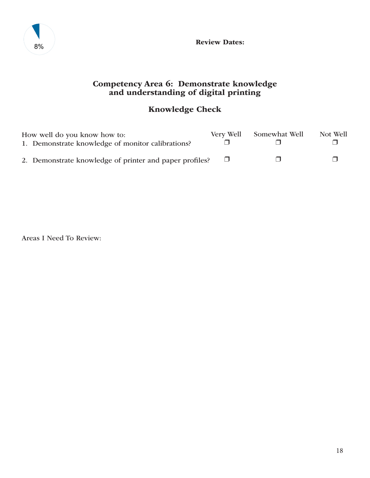

Review Dates:

# Competency Area 6: Demonstrate knowledge and understanding of digital printing

# Knowledge Check

| How well do you know how to:                            | Very Well | Somewhat Well | Not Well |
|---------------------------------------------------------|-----------|---------------|----------|
| 1. Demonstrate knowledge of monitor calibrations?       |           |               |          |
| 2. Demonstrate knowledge of printer and paper profiles? |           |               |          |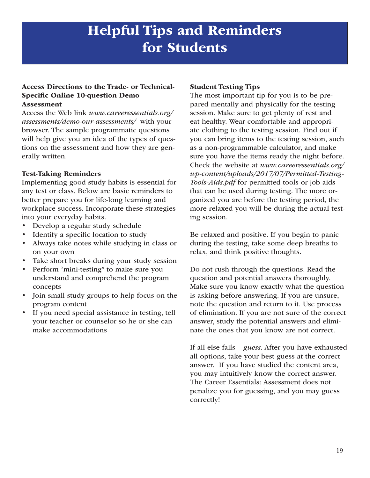# Helpful Tips and Reminders for Students

#### Access Directions to the Trade- or Technical-Specific Online 10-question Demo Assessment

Access the Web link *www.careeressentials.org/ assessments/demo-our-assessments/* with your browser. The sample programmatic questions will help give you an idea of the types of questions on the assessment and how they are generally written.

## Test-Taking Reminders

Implementing good study habits is essential for any test or class. Below are basic reminders to better prepare you for life-long learning and workplace success. Incorporate these strategies into your everyday habits.

- Develop a regular study schedule
- Identify a specific location to study
- Always take notes while studying in class or on your own
- Take short breaks during your study session
- Perform "mini-testing" to make sure you understand and comprehend the program concepts
- Join small study groups to help focus on the program content
- If you need special assistance in testing, tell your teacher or counselor so he or she can make accommodations

## Student Testing Tips

The most important tip for you is to be prepared mentally and physically for the testing session. Make sure to get plenty of rest and eat healthy. Wear comfortable and appropriate clothing to the testing session. Find out if you can bring items to the testing session, such as a non-programmable calculator, and make sure you have the items ready the night before. Check the website at *www.careeressentials.org/ wp-content/uploads/2017/07/Permitted-Testing-Tools-Aids.pdf* for permitted tools or job aids that can be used during testing. The more organized you are before the testing period, the more relaxed you will be during the actual testing session.

Be relaxed and positive. If you begin to panic during the testing, take some deep breaths to relax, and think positive thoughts.

Do not rush through the questions. Read the question and potential answers thoroughly. Make sure you know exactly what the question is asking before answering. If you are unsure, note the question and return to it. Use process of elimination. If you are not sure of the correct answer, study the potential answers and eliminate the ones that you know are not correct.

If all else fails – *guess*. After you have exhausted all options, take your best guess at the correct answer. If you have studied the content area, you may intuitively know the correct answer. The Career Essentials: Assessment does not penalize you for guessing, and you may guess correctly!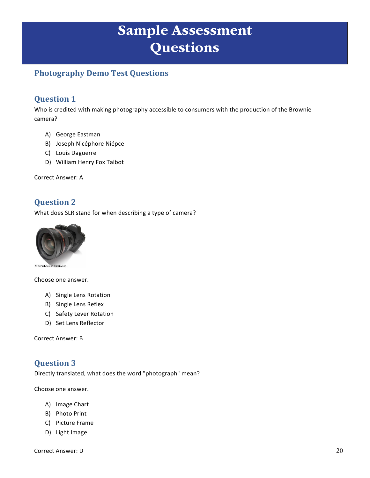# Sample Assessment **Questions**

# **Photography Demo Test Questions**

# **Question 1**

Who is credited with making photography accessible to consumers with the production of the Brownie camera?

- A) George Eastman
- B) Joseph Nicéphore Niépce
- C) Louis Daguerre
- D) William Henry Fox Talbot

Correct Answer: A

# **Question 2**

What does SLR stand for when describing a type of camera?



Choose one answer.

- A) Single Lens Rotation
- B) Single Lens Reflex
- C) Safety Lever Rotation
- D) Set Lens Reflector

Correct Answer: B

# **Question 3**

Directly translated, what does the word "photograph" mean?

Choose one answer.

- A) Image Chart
- B) Photo Print
- C) Picture Frame
- D) Light Image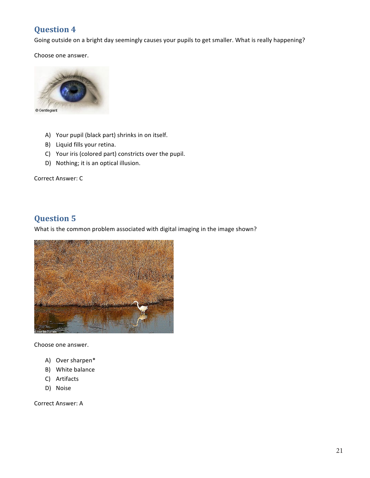# **Question 4**

Going outside on a bright day seemingly causes your pupils to get smaller. What is really happening?

Choose one answer.



- A) Your pupil (black part) shrinks in on itself.
- B) Liquid fills your retina.
- C) Your iris (colored part) constricts over the pupil.
- D) Nothing; it is an optical illusion.

Correct Answer: C

# **Question 5**

What is the common problem associated with digital imaging in the image shown?



Choose one answer.

- A) Over sharpen\*
- B) White balance
- C) Artifacts
- D) Noise

Correct Answer: A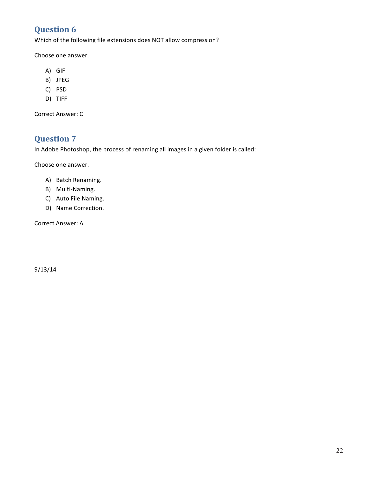# **Question 6**

Which of the following file extensions does NOT allow compression?

Choose one answer.

- A) GIF
- B) JPEG
- C) PSD
- D) TIFF

Correct Answer: C

# **Question 7**

In Adobe Photoshop, the process of renaming all images in a given folder is called:

Choose one answer.

- A) Batch Renaming.
- B) Multi-Naming.
- C) Auto File Naming.
- D) Name Correction.

Correct Answer: A

9/13/14